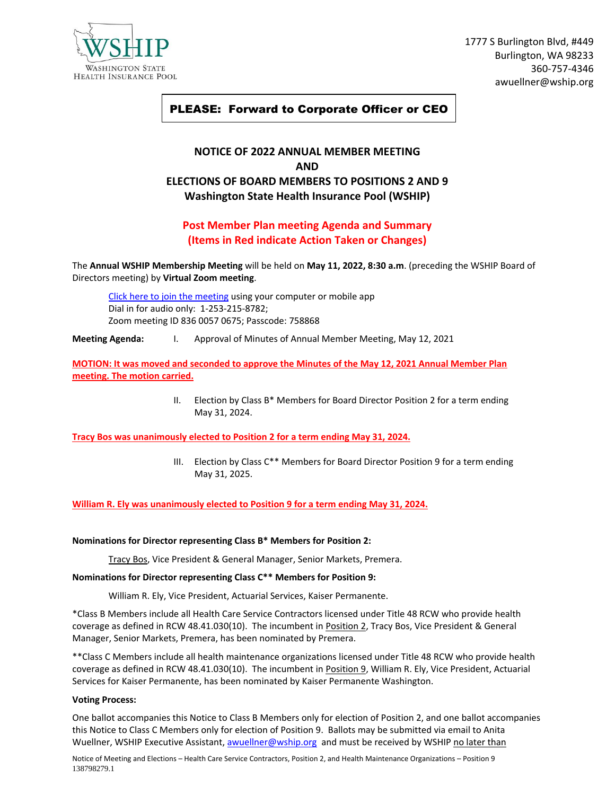

1777 S Burlington Blvd, #449 Burlington, WA 98233 360-757-4346 awuellner@wship.org

# PLEASE: Forward to Corporate Officer or CEO

# **NOTICE OF 2022 ANNUAL MEMBER MEETING AND ELECTIONS OF BOARD MEMBERS TO POSITIONS 2 AND 9 Washington State Health Insurance Pool (WSHIP)**

### **Post Member Plan meeting Agenda and Summary (Items in Red indicate Action Taken or Changes)**

The **Annual WSHIP Membership Meeting** will be held on **May 11, 2022, 8:30 a.m**. (preceding the WSHIP Board of Directors meeting) by **Virtual Zoom meeting**.

[Click here to join the meeting](https://us06web.zoom.us/j/83600570675?pwd=dWE0RXY0Z2JjeVpwcjdlYnBxdVYxdz09) using your computer or mobile app Dial in for audio only: 1-253-215-8782; Zoom meeting ID 836 0057 0675; Passcode: 758868

**Meeting Agenda:** I. Approval of Minutes of Annual Member Meeting, May 12, 2021

**MOTION: It was moved and seconded to approve the Minutes of the May 12, 2021 Annual Member Plan meeting. The motion carried.**

> II. Election by Class  $B^*$  Members for Board Director Position 2 for a term ending May 31, 2024.

**Tracy Bos was unanimously elected to Position 2 for a term ending May 31, 2024.**

III. Election by Class C\*\* Members for Board Director Position 9 for a term ending May 31, 2025.

**William R. Ely was unanimously elected to Position 9 for a term ending May 31, 2024.**

#### **Nominations for Director representing Class B\* Members for Position 2:**

Tracy Bos, Vice President & General Manager, Senior Markets, Premera.

#### **Nominations for Director representing Class C\*\* Members for Position 9:**

William R. Ely, Vice President, Actuarial Services, Kaiser Permanente.

\*Class B Members include all Health Care Service Contractors licensed under Title 48 RCW who provide health coverage as defined in RCW 48.41.030(10). The incumbent in Position 2, Tracy Bos, Vice President & General Manager, Senior Markets, Premera, has been nominated by Premera.

\*\*Class C Members include all health maintenance organizations licensed under Title 48 RCW who provide health coverage as defined in RCW 48.41.030(10). The incumbent in Position 9, William R. Ely, Vice President, Actuarial Services for Kaiser Permanente, has been nominated by Kaiser Permanente Washington.

#### **Voting Process:**

One ballot accompanies this Notice to Class B Members only for election of Position 2, and one ballot accompanies this Notice to Class C Members only for election of Position 9. Ballots may be submitted via email to Anita Wuellner, WSHIP Executive Assistant, [awuellner@wship.org](mailto:awuellner@wship.org) and must be received by WSHIP no later than